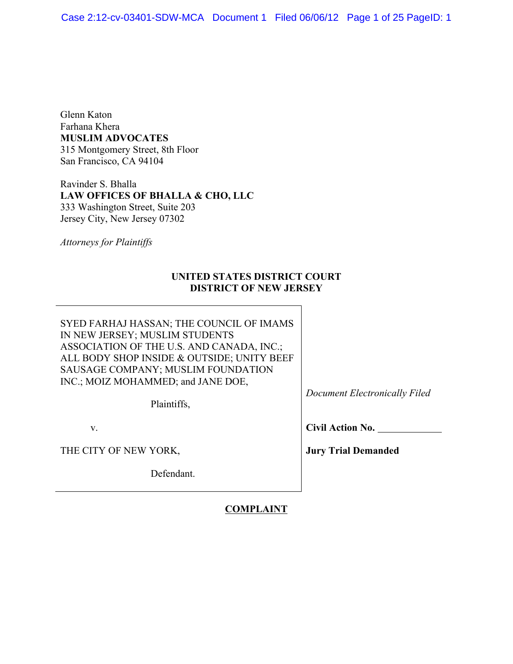Glenn Katon Farhana Khera **MUSLIM ADVOCATES** 315 Montgomery Street, 8th Floor San Francisco, CA 94104

Ravinder S. Bhalla **LAW OFFICES OF BHALLA & CHO, LLC** 333 Washington Street, Suite 203 Jersey City, New Jersey 07302

*Attorneys for Plaintiffs*

# **UNITED STATES DISTRICT COURT DISTRICT OF NEW JERSEY**

SYED FARHAJ HASSAN; THE COUNCIL OF IMAMS IN NEW JERSEY; MUSLIM STUDENTS ASSOCIATION OF THE U.S. AND CANADA, INC.; ALL BODY SHOP INSIDE & OUTSIDE; UNITY BEEF SAUSAGE COMPANY; MUSLIM FOUNDATION INC.; MOIZ MOHAMMED; and JANE DOE,

Plaintiffs,

v.

THE CITY OF NEW YORK,

Defendant.

*Document Electronically Filed*

**Civil Action No.** 

**Jury Trial Demanded**

# **COMPLAINT**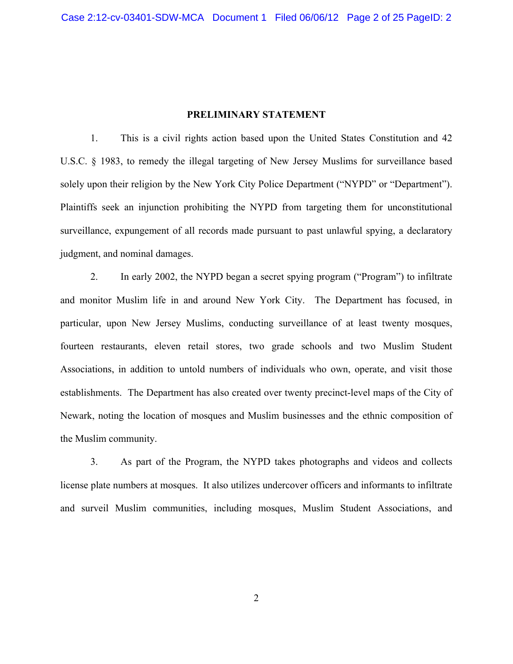#### **PRELIMINARY STATEMENT**

1. This is a civil rights action based upon the United States Constitution and 42 U.S.C. § 1983, to remedy the illegal targeting of New Jersey Muslims for surveillance based solely upon their religion by the New York City Police Department ("NYPD" or "Department"). Plaintiffs seek an injunction prohibiting the NYPD from targeting them for unconstitutional surveillance, expungement of all records made pursuant to past unlawful spying, a declaratory judgment, and nominal damages.

2. In early 2002, the NYPD began a secret spying program ("Program") to infiltrate and monitor Muslim life in and around New York City. The Department has focused, in particular, upon New Jersey Muslims, conducting surveillance of at least twenty mosques, fourteen restaurants, eleven retail stores, two grade schools and two Muslim Student Associations, in addition to untold numbers of individuals who own, operate, and visit those establishments. The Department has also created over twenty precinct-level maps of the City of Newark, noting the location of mosques and Muslim businesses and the ethnic composition of the Muslim community.

3. As part of the Program, the NYPD takes photographs and videos and collects license plate numbers at mosques. It also utilizes undercover officers and informants to infiltrate and surveil Muslim communities, including mosques, Muslim Student Associations, and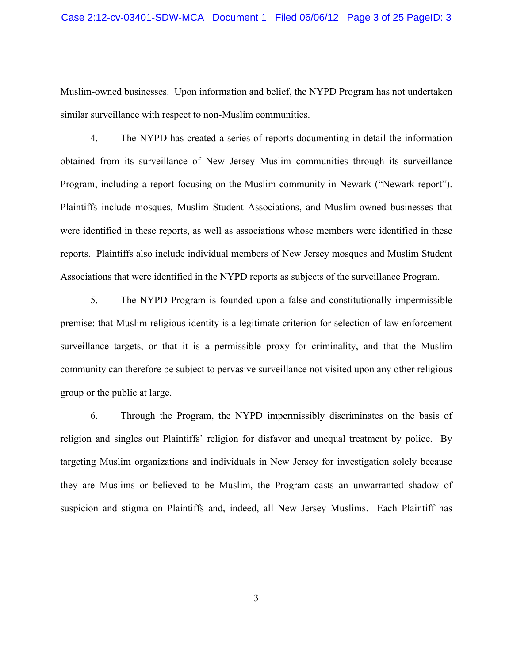Muslim-owned businesses. Upon information and belief, the NYPD Program has not undertaken similar surveillance with respect to non-Muslim communities.

4. The NYPD has created a series of reports documenting in detail the information obtained from its surveillance of New Jersey Muslim communities through its surveillance Program, including a report focusing on the Muslim community in Newark ("Newark report"). Plaintiffs include mosques, Muslim Student Associations, and Muslim-owned businesses that were identified in these reports, as well as associations whose members were identified in these reports. Plaintiffs also include individual members of New Jersey mosques and Muslim Student Associations that were identified in the NYPD reports as subjects of the surveillance Program.

5. The NYPD Program is founded upon a false and constitutionally impermissible premise: that Muslim religious identity is a legitimate criterion for selection of law-enforcement surveillance targets, or that it is a permissible proxy for criminality, and that the Muslim community can therefore be subject to pervasive surveillance not visited upon any other religious group or the public at large.

6. Through the Program, the NYPD impermissibly discriminates on the basis of religion and singles out Plaintiffs' religion for disfavor and unequal treatment by police. By targeting Muslim organizations and individuals in New Jersey for investigation solely because they are Muslims or believed to be Muslim, the Program casts an unwarranted shadow of suspicion and stigma on Plaintiffs and, indeed, all New Jersey Muslims. Each Plaintiff has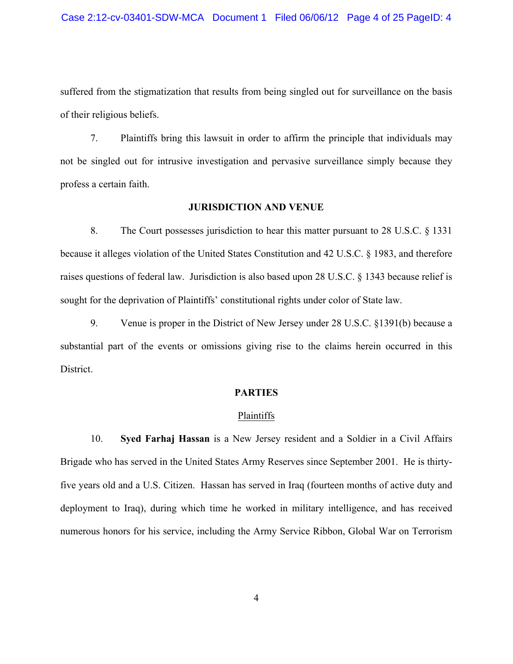suffered from the stigmatization that results from being singled out for surveillance on the basis of their religious beliefs.

7. Plaintiffs bring this lawsuit in order to affirm the principle that individuals may not be singled out for intrusive investigation and pervasive surveillance simply because they profess a certain faith.

## **JURISDICTION AND VENUE**

8. The Court possesses jurisdiction to hear this matter pursuant to 28 U.S.C. § 1331 because it alleges violation of the United States Constitution and 42 U.S.C. § 1983, and therefore raises questions of federal law. Jurisdiction is also based upon 28 U.S.C. § 1343 because relief is sought for the deprivation of Plaintiffs' constitutional rights under color of State law.

9. Venue is proper in the District of New Jersey under 28 U.S.C. §1391(b) because a substantial part of the events or omissions giving rise to the claims herein occurred in this District.

## **PARTIES**

### Plaintiffs

10. **Syed Farhaj Hassan** is a New Jersey resident and a Soldier in a Civil Affairs Brigade who has served in the United States Army Reserves since September 2001. He is thirtyfive years old and a U.S. Citizen. Hassan has served in Iraq (fourteen months of active duty and deployment to Iraq), during which time he worked in military intelligence, and has received numerous honors for his service, including the Army Service Ribbon, Global War on Terrorism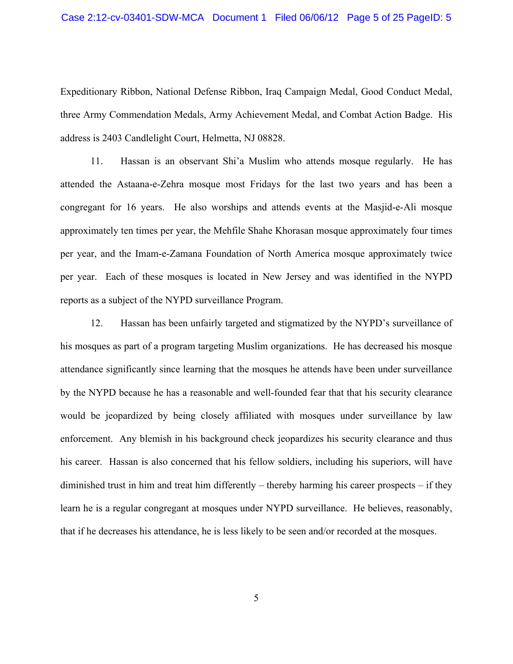#### Case 2:12-cv-03401-SDW-MCA Document 1 Filed 06/06/12 Page 5 of 25 PageID: 5

Expeditionary Ribbon, National Defense Ribbon, Iraq Campaign Medal, Good Conduct Medal, three Army Commendation Medals, Army Achievement Medal, and Combat Action Badge. His address is 2403 Candlelight Court, Helmetta, NJ 08828.

11. Hassan is an observant Shi'a Muslim who attends mosque regularly. He has attended the Astaana-e-Zehra mosque most Fridays for the last two years and has been a congregant for 16 years. He also worships and attends events at the Masjid-e-Ali mosque approximately ten times per year, the Mehfile Shahe Khorasan mosque approximately four times per year, and the Imam-e-Zamana Foundation of North America mosque approximately twice per year. Each of these mosques is located in New Jersey and was identified in the NYPD reports as a subject of the NYPD surveillance Program.

12. Hassan has been unfairly targeted and stigmatized by the NYPD's surveillance of his mosques as part of a program targeting Muslim organizations. He has decreased his mosque attendance significantly since learning that the mosques he attends have been under surveillance by the NYPD because he has a reasonable and well-founded fear that that his security clearance would be jeopardized by being closely affiliated with mosques under surveillance by law enforcement. Any blemish in his background check jeopardizes his security clearance and thus his career. Hassan is also concerned that his fellow soldiers, including his superiors, will have diminished trust in him and treat him differently – thereby harming his career prospects – if they learn he is a regular congregant at mosques under NYPD surveillance. He believes, reasonably, that if he decreases his attendance, he is less likely to be seen and/or recorded at the mosques.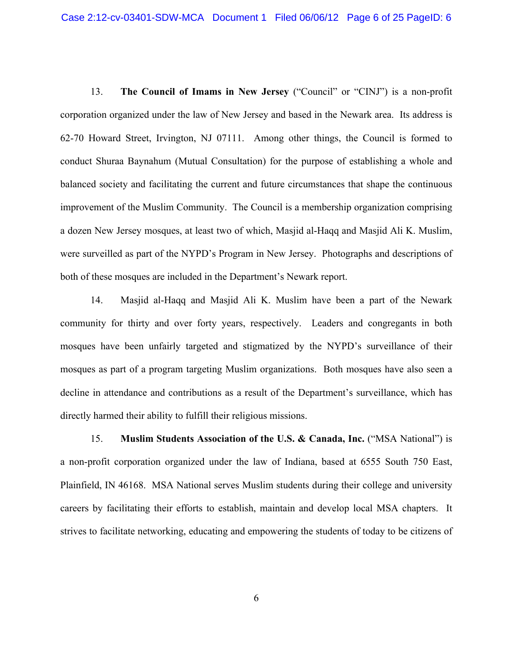13. **The Council of Imams in New Jersey** ("Council" or "CINJ") is a non-profit corporation organized under the law of New Jersey and based in the Newark area. Its address is 62-70 Howard Street, Irvington, NJ 07111. Among other things, the Council is formed to conduct Shuraa Baynahum (Mutual Consultation) for the purpose of establishing a whole and balanced society and facilitating the current and future circumstances that shape the continuous improvement of the Muslim Community. The Council is a membership organization comprising a dozen New Jersey mosques, at least two of which, Masjid al-Haqq and Masjid Ali K. Muslim, were surveilled as part of the NYPD's Program in New Jersey. Photographs and descriptions of both of these mosques are included in the Department's Newark report.

14. Masjid al-Haqq and Masjid Ali K. Muslim have been a part of the Newark community for thirty and over forty years, respectively. Leaders and congregants in both mosques have been unfairly targeted and stigmatized by the NYPD's surveillance of their mosques as part of a program targeting Muslim organizations. Both mosques have also seen a decline in attendance and contributions as a result of the Department's surveillance, which has directly harmed their ability to fulfill their religious missions.

15. **Muslim Students Association of the U.S. & Canada, Inc.** ("MSA National") is a non-profit corporation organized under the law of Indiana, based at 6555 South 750 East, Plainfield, IN 46168. MSA National serves Muslim students during their college and university careers by facilitating their efforts to establish, maintain and develop local MSA chapters. It strives to facilitate networking, educating and empowering the students of today to be citizens of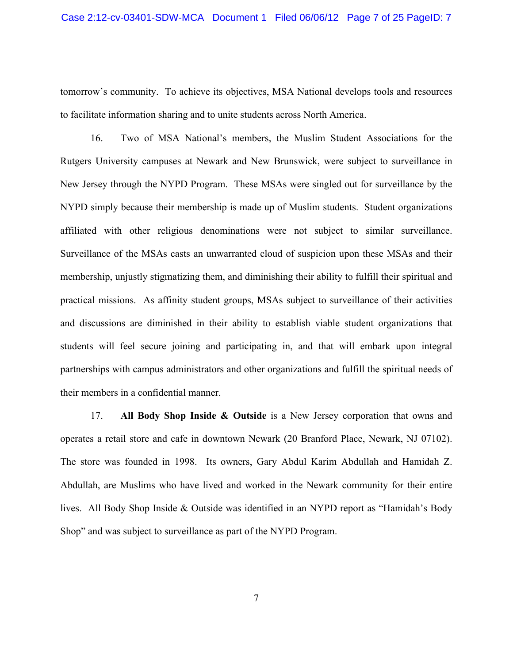#### Case 2:12-cv-03401-SDW-MCA Document 1 Filed 06/06/12 Page 7 of 25 PageID: 7

tomorrow's community. To achieve its objectives, MSA National develops tools and resources to facilitate information sharing and to unite students across North America.

16. Two of MSA National's members, the Muslim Student Associations for the Rutgers University campuses at Newark and New Brunswick, were subject to surveillance in New Jersey through the NYPD Program. These MSAs were singled out for surveillance by the NYPD simply because their membership is made up of Muslim students. Student organizations affiliated with other religious denominations were not subject to similar surveillance. Surveillance of the MSAs casts an unwarranted cloud of suspicion upon these MSAs and their membership, unjustly stigmatizing them, and diminishing their ability to fulfill their spiritual and practical missions. As affinity student groups, MSAs subject to surveillance of their activities and discussions are diminished in their ability to establish viable student organizations that students will feel secure joining and participating in, and that will embark upon integral partnerships with campus administrators and other organizations and fulfill the spiritual needs of their members in a confidential manner.

17. **All Body Shop Inside & Outside** is a New Jersey corporation that owns and operates a retail store and cafe in downtown Newark (20 Branford Place, Newark, NJ 07102). The store was founded in 1998. Its owners, Gary Abdul Karim Abdullah and Hamidah Z. Abdullah, are Muslims who have lived and worked in the Newark community for their entire lives. All Body Shop Inside & Outside was identified in an NYPD report as "Hamidah's Body Shop" and was subject to surveillance as part of the NYPD Program.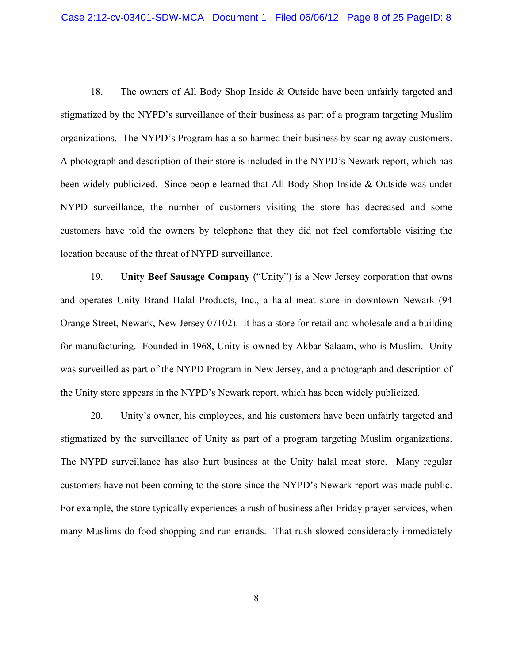18. The owners of All Body Shop Inside & Outside have been unfairly targeted and stigmatized by the NYPD's surveillance of their business as part of a program targeting Muslim organizations. The NYPD's Program has also harmed their business by scaring away customers. A photograph and description of their store is included in the NYPD's Newark report, which has been widely publicized. Since people learned that All Body Shop Inside & Outside was under NYPD surveillance, the number of customers visiting the store has decreased and some customers have told the owners by telephone that they did not feel comfortable visiting the location because of the threat of NYPD surveillance.

19. **Unity Beef Sausage Company** ("Unity") is a New Jersey corporation that owns and operates Unity Brand Halal Products, Inc., a halal meat store in downtown Newark (94 Orange Street, Newark, New Jersey 07102). It has a store for retail and wholesale and a building for manufacturing. Founded in 1968, Unity is owned by Akbar Salaam, who is Muslim. Unity was surveilled as part of the NYPD Program in New Jersey, and a photograph and description of the Unity store appears in the NYPD's Newark report, which has been widely publicized.

20. Unity's owner, his employees, and his customers have been unfairly targeted and stigmatized by the surveillance of Unity as part of a program targeting Muslim organizations. The NYPD surveillance has also hurt business at the Unity halal meat store. Many regular customers have not been coming to the store since the NYPD's Newark report was made public. For example, the store typically experiences a rush of business after Friday prayer services, when many Muslims do food shopping and run errands. That rush slowed considerably immediately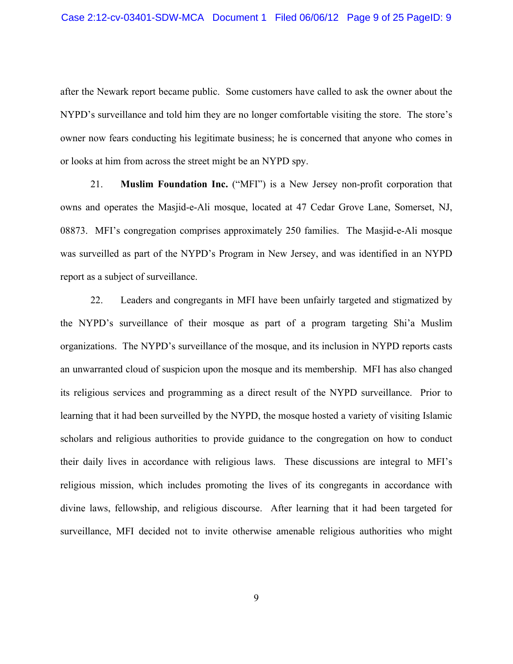after the Newark report became public. Some customers have called to ask the owner about the NYPD's surveillance and told him they are no longer comfortable visiting the store. The store's owner now fears conducting his legitimate business; he is concerned that anyone who comes in or looks at him from across the street might be an NYPD spy.

21. **Muslim Foundation Inc.** ("MFI") is a New Jersey non-profit corporation that owns and operates the Masjid-e-Ali mosque, located at 47 Cedar Grove Lane, Somerset, NJ, 08873. MFI's congregation comprises approximately 250 families. The Masjid-e-Ali mosque was surveilled as part of the NYPD's Program in New Jersey, and was identified in an NYPD report as a subject of surveillance.

22. Leaders and congregants in MFI have been unfairly targeted and stigmatized by the NYPD's surveillance of their mosque as part of a program targeting Shi'a Muslim organizations. The NYPD's surveillance of the mosque, and its inclusion in NYPD reports casts an unwarranted cloud of suspicion upon the mosque and its membership. MFI has also changed its religious services and programming as a direct result of the NYPD surveillance. Prior to learning that it had been surveilled by the NYPD, the mosque hosted a variety of visiting Islamic scholars and religious authorities to provide guidance to the congregation on how to conduct their daily lives in accordance with religious laws. These discussions are integral to MFI's religious mission, which includes promoting the lives of its congregants in accordance with divine laws, fellowship, and religious discourse. After learning that it had been targeted for surveillance, MFI decided not to invite otherwise amenable religious authorities who might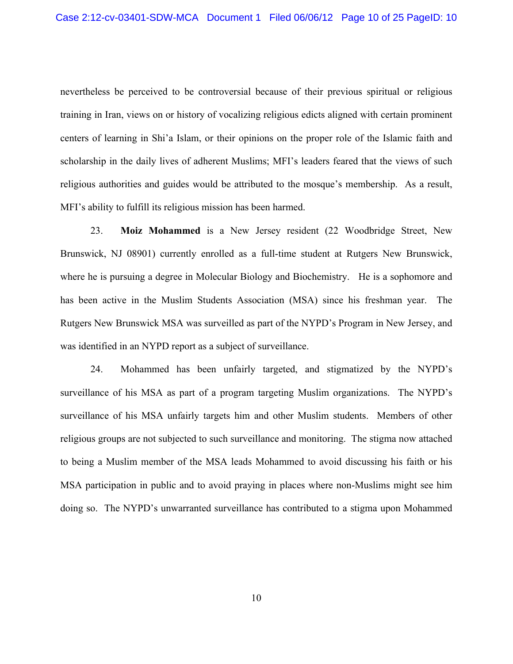nevertheless be perceived to be controversial because of their previous spiritual or religious training in Iran, views on or history of vocalizing religious edicts aligned with certain prominent centers of learning in Shi'a Islam, or their opinions on the proper role of the Islamic faith and scholarship in the daily lives of adherent Muslims; MFI's leaders feared that the views of such religious authorities and guides would be attributed to the mosque's membership. As a result, MFI's ability to fulfill its religious mission has been harmed.

23. **Moiz Mohammed** is a New Jersey resident (22 Woodbridge Street, New Brunswick, NJ 08901) currently enrolled as a full-time student at Rutgers New Brunswick, where he is pursuing a degree in Molecular Biology and Biochemistry. He is a sophomore and has been active in the Muslim Students Association (MSA) since his freshman year. The Rutgers New Brunswick MSA was surveilled as part of the NYPD's Program in New Jersey, and was identified in an NYPD report as a subject of surveillance.

24. Mohammed has been unfairly targeted, and stigmatized by the NYPD's surveillance of his MSA as part of a program targeting Muslim organizations. The NYPD's surveillance of his MSA unfairly targets him and other Muslim students. Members of other religious groups are not subjected to such surveillance and monitoring. The stigma now attached to being a Muslim member of the MSA leads Mohammed to avoid discussing his faith or his MSA participation in public and to avoid praying in places where non-Muslims might see him doing so. The NYPD's unwarranted surveillance has contributed to a stigma upon Mohammed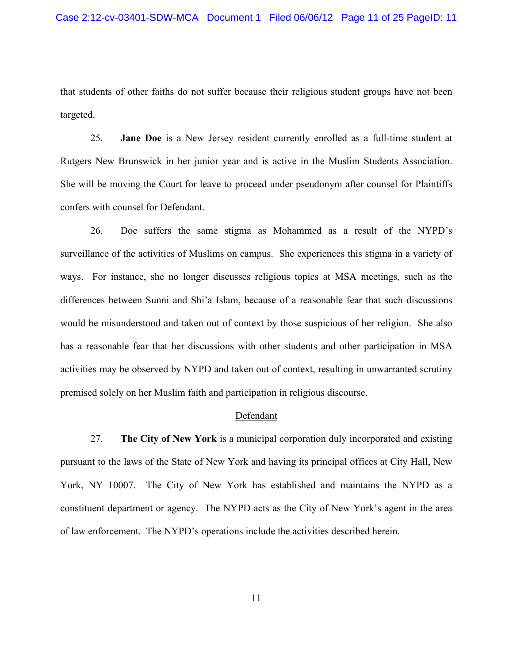that students of other faiths do not suffer because their religious student groups have not been targeted.

25. **Jane Doe** is a New Jersey resident currently enrolled as a full-time student at Rutgers New Brunswick in her junior year and is active in the Muslim Students Association. She will be moving the Court for leave to proceed under pseudonym after counsel for Plaintiffs confers with counsel for Defendant.

26. Doe suffers the same stigma as Mohammed as a result of the NYPD's surveillance of the activities of Muslims on campus. She experiences this stigma in a variety of ways. For instance, she no longer discusses religious topics at MSA meetings, such as the differences between Sunni and Shi'a Islam, because of a reasonable fear that such discussions would be misunderstood and taken out of context by those suspicious of her religion. She also has a reasonable fear that her discussions with other students and other participation in MSA activities may be observed by NYPD and taken out of context, resulting in unwarranted scrutiny premised solely on her Muslim faith and participation in religious discourse.

## Defendant

27. **The City of New York** is a municipal corporation duly incorporated and existing pursuant to the laws of the State of New York and having its principal offices at City Hall, New York, NY 10007. The City of New York has established and maintains the NYPD as a constituent department or agency. The NYPD acts as the City of New York's agent in the area of law enforcement. The NYPD's operations include the activities described herein.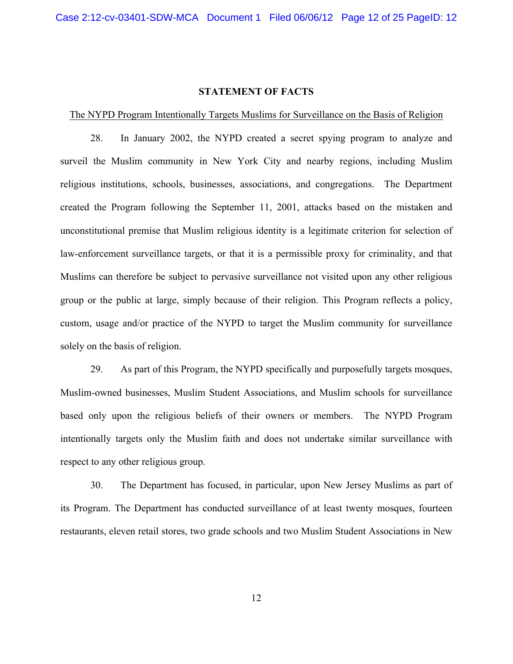#### **STATEMENT OF FACTS**

#### The NYPD Program Intentionally Targets Muslims for Surveillance on the Basis of Religion

28. In January 2002, the NYPD created a secret spying program to analyze and surveil the Muslim community in New York City and nearby regions, including Muslim religious institutions, schools, businesses, associations, and congregations. The Department created the Program following the September 11, 2001, attacks based on the mistaken and unconstitutional premise that Muslim religious identity is a legitimate criterion for selection of law-enforcement surveillance targets, or that it is a permissible proxy for criminality, and that Muslims can therefore be subject to pervasive surveillance not visited upon any other religious group or the public at large, simply because of their religion. This Program reflects a policy, custom, usage and/or practice of the NYPD to target the Muslim community for surveillance solely on the basis of religion.

29. As part of this Program, the NYPD specifically and purposefully targets mosques, Muslim-owned businesses, Muslim Student Associations, and Muslim schools for surveillance based only upon the religious beliefs of their owners or members. The NYPD Program intentionally targets only the Muslim faith and does not undertake similar surveillance with respect to any other religious group.

30. The Department has focused, in particular, upon New Jersey Muslims as part of its Program. The Department has conducted surveillance of at least twenty mosques, fourteen restaurants, eleven retail stores, two grade schools and two Muslim Student Associations in New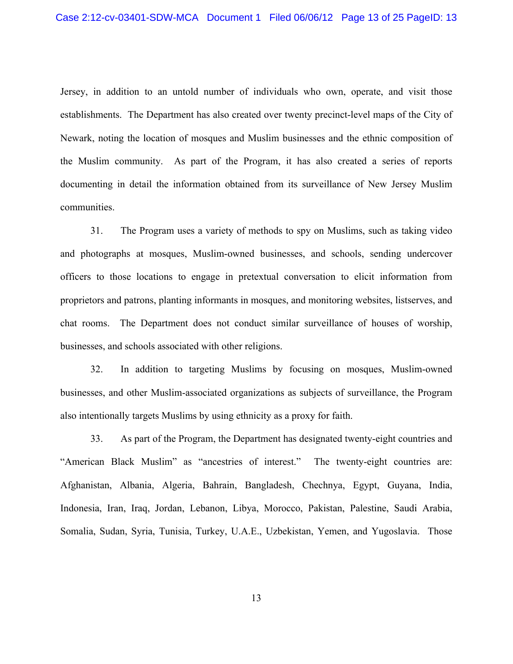Jersey, in addition to an untold number of individuals who own, operate, and visit those establishments. The Department has also created over twenty precinct-level maps of the City of Newark, noting the location of mosques and Muslim businesses and the ethnic composition of the Muslim community. As part of the Program, it has also created a series of reports documenting in detail the information obtained from its surveillance of New Jersey Muslim communities.

31. The Program uses a variety of methods to spy on Muslims, such as taking video and photographs at mosques, Muslim-owned businesses, and schools, sending undercover officers to those locations to engage in pretextual conversation to elicit information from proprietors and patrons, planting informants in mosques, and monitoring websites, listserves, and chat rooms. The Department does not conduct similar surveillance of houses of worship, businesses, and schools associated with other religions.

32. In addition to targeting Muslims by focusing on mosques, Muslim-owned businesses, and other Muslim-associated organizations as subjects of surveillance, the Program also intentionally targets Muslims by using ethnicity as a proxy for faith.

33. As part of the Program, the Department has designated twenty-eight countries and "American Black Muslim" as "ancestries of interest." The twenty-eight countries are: Afghanistan, Albania, Algeria, Bahrain, Bangladesh, Chechnya, Egypt, Guyana, India, Indonesia, Iran, Iraq, Jordan, Lebanon, Libya, Morocco, Pakistan, Palestine, Saudi Arabia, Somalia, Sudan, Syria, Tunisia, Turkey, U.A.E., Uzbekistan, Yemen, and Yugoslavia. Those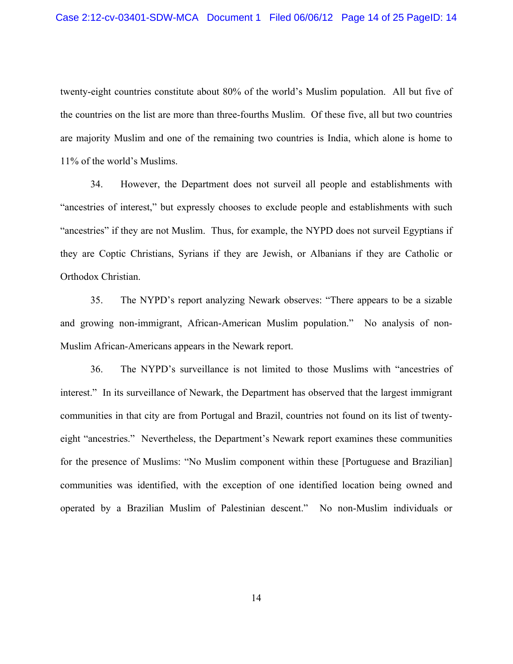twenty-eight countries constitute about 80% of the world's Muslim population. All but five of the countries on the list are more than three-fourths Muslim. Of these five, all but two countries are majority Muslim and one of the remaining two countries is India, which alone is home to 11% of the world's Muslims.

34. However, the Department does not surveil all people and establishments with "ancestries of interest," but expressly chooses to exclude people and establishments with such "ancestries" if they are not Muslim. Thus, for example, the NYPD does not surveil Egyptians if they are Coptic Christians, Syrians if they are Jewish, or Albanians if they are Catholic or Orthodox Christian.

35. The NYPD's report analyzing Newark observes: "There appears to be a sizable and growing non-immigrant, African-American Muslim population." No analysis of non-Muslim African-Americans appears in the Newark report.

36. The NYPD's surveillance is not limited to those Muslims with "ancestries of interest." In its surveillance of Newark, the Department has observed that the largest immigrant communities in that city are from Portugal and Brazil, countries not found on its list of twentyeight "ancestries." Nevertheless, the Department's Newark report examines these communities for the presence of Muslims: "No Muslim component within these [Portuguese and Brazilian] communities was identified, with the exception of one identified location being owned and operated by a Brazilian Muslim of Palestinian descent." No non-Muslim individuals or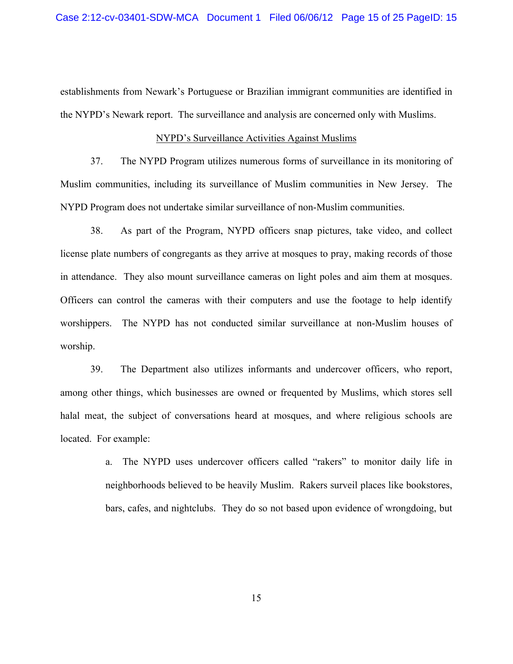establishments from Newark's Portuguese or Brazilian immigrant communities are identified in the NYPD's Newark report. The surveillance and analysis are concerned only with Muslims.

### NYPD's Surveillance Activities Against Muslims

37. The NYPD Program utilizes numerous forms of surveillance in its monitoring of Muslim communities, including its surveillance of Muslim communities in New Jersey. The NYPD Program does not undertake similar surveillance of non-Muslim communities.

38. As part of the Program, NYPD officers snap pictures, take video, and collect license plate numbers of congregants as they arrive at mosques to pray, making records of those in attendance. They also mount surveillance cameras on light poles and aim them at mosques. Officers can control the cameras with their computers and use the footage to help identify worshippers. The NYPD has not conducted similar surveillance at non-Muslim houses of worship.

39. The Department also utilizes informants and undercover officers, who report, among other things, which businesses are owned or frequented by Muslims, which stores sell halal meat, the subject of conversations heard at mosques, and where religious schools are located. For example:

> a. The NYPD uses undercover officers called "rakers" to monitor daily life in neighborhoods believed to be heavily Muslim. Rakers surveil places like bookstores, bars, cafes, and nightclubs. They do so not based upon evidence of wrongdoing, but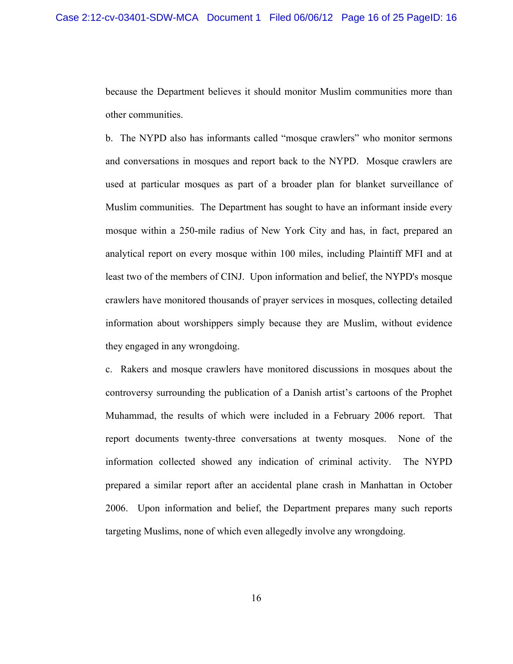because the Department believes it should monitor Muslim communities more than other communities.

b. The NYPD also has informants called "mosque crawlers" who monitor sermons and conversations in mosques and report back to the NYPD. Mosque crawlers are used at particular mosques as part of a broader plan for blanket surveillance of Muslim communities. The Department has sought to have an informant inside every mosque within a 250-mile radius of New York City and has, in fact, prepared an analytical report on every mosque within 100 miles, including Plaintiff MFI and at least two of the members of CINJ. Upon information and belief, the NYPD's mosque crawlers have monitored thousands of prayer services in mosques, collecting detailed information about worshippers simply because they are Muslim, without evidence they engaged in any wrongdoing.

c. Rakers and mosque crawlers have monitored discussions in mosques about the controversy surrounding the publication of a Danish artist's cartoons of the Prophet Muhammad, the results of which were included in a February 2006 report. That report documents twenty-three conversations at twenty mosques. None of the information collected showed any indication of criminal activity. The NYPD prepared a similar report after an accidental plane crash in Manhattan in October 2006. Upon information and belief, the Department prepares many such reports targeting Muslims, none of which even allegedly involve any wrongdoing.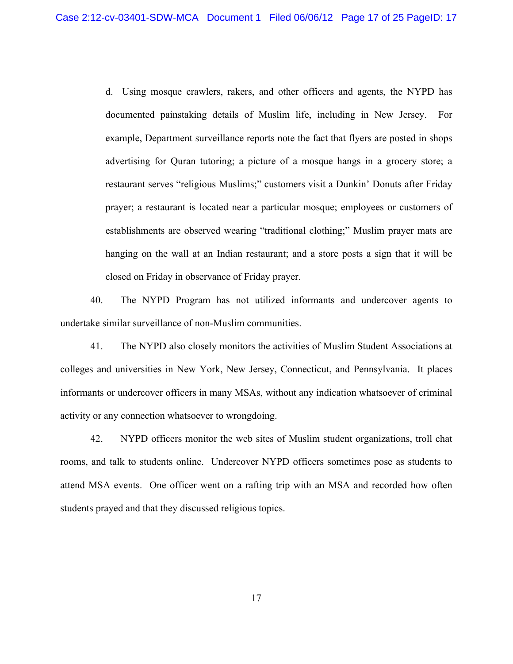d. Using mosque crawlers, rakers, and other officers and agents, the NYPD has documented painstaking details of Muslim life, including in New Jersey. For example, Department surveillance reports note the fact that flyers are posted in shops advertising for Quran tutoring; a picture of a mosque hangs in a grocery store; a restaurant serves "religious Muslims;" customers visit a Dunkin' Donuts after Friday prayer; a restaurant is located near a particular mosque; employees or customers of establishments are observed wearing "traditional clothing;" Muslim prayer mats are hanging on the wall at an Indian restaurant; and a store posts a sign that it will be closed on Friday in observance of Friday prayer.

40. The NYPD Program has not utilized informants and undercover agents to undertake similar surveillance of non-Muslim communities.

41. The NYPD also closely monitors the activities of Muslim Student Associations at colleges and universities in New York, New Jersey, Connecticut, and Pennsylvania. It places informants or undercover officers in many MSAs, without any indication whatsoever of criminal activity or any connection whatsoever to wrongdoing.

42. NYPD officers monitor the web sites of Muslim student organizations, troll chat rooms, and talk to students online. Undercover NYPD officers sometimes pose as students to attend MSA events. One officer went on a rafting trip with an MSA and recorded how often students prayed and that they discussed religious topics.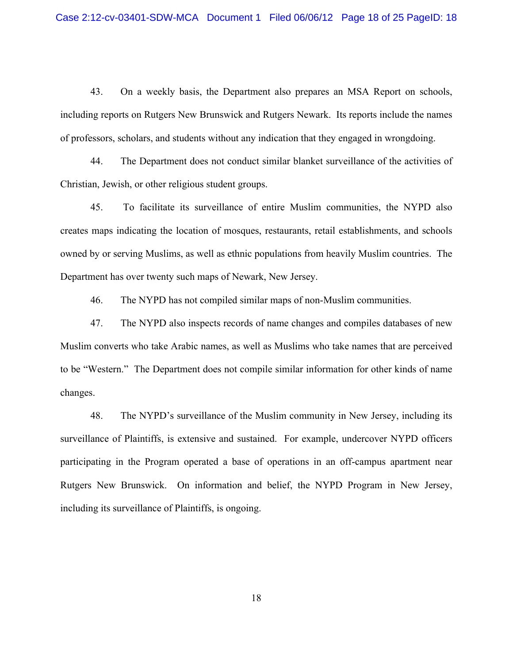43. On a weekly basis, the Department also prepares an MSA Report on schools, including reports on Rutgers New Brunswick and Rutgers Newark. Its reports include the names of professors, scholars, and students without any indication that they engaged in wrongdoing.

44. The Department does not conduct similar blanket surveillance of the activities of Christian, Jewish, or other religious student groups.

45. To facilitate its surveillance of entire Muslim communities, the NYPD also creates maps indicating the location of mosques, restaurants, retail establishments, and schools owned by or serving Muslims, as well as ethnic populations from heavily Muslim countries. The Department has over twenty such maps of Newark, New Jersey.

46. The NYPD has not compiled similar maps of non-Muslim communities.

47. The NYPD also inspects records of name changes and compiles databases of new Muslim converts who take Arabic names, as well as Muslims who take names that are perceived to be "Western." The Department does not compile similar information for other kinds of name changes.

48. The NYPD's surveillance of the Muslim community in New Jersey, including its surveillance of Plaintiffs, is extensive and sustained. For example, undercover NYPD officers participating in the Program operated a base of operations in an off-campus apartment near Rutgers New Brunswick. On information and belief, the NYPD Program in New Jersey, including its surveillance of Plaintiffs, is ongoing.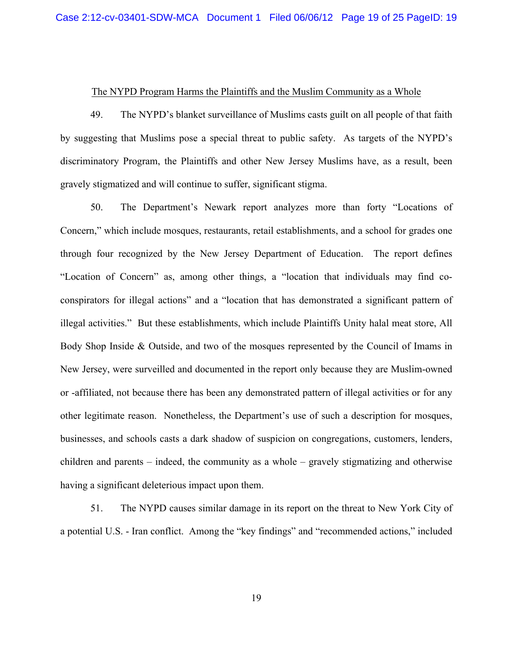#### The NYPD Program Harms the Plaintiffs and the Muslim Community as a Whole

49. The NYPD's blanket surveillance of Muslims casts guilt on all people of that faith by suggesting that Muslims pose a special threat to public safety. As targets of the NYPD's discriminatory Program, the Plaintiffs and other New Jersey Muslims have, as a result, been gravely stigmatized and will continue to suffer, significant stigma.

50. The Department's Newark report analyzes more than forty "Locations of Concern," which include mosques, restaurants, retail establishments, and a school for grades one through four recognized by the New Jersey Department of Education. The report defines "Location of Concern" as, among other things, a "location that individuals may find coconspirators for illegal actions" and a "location that has demonstrated a significant pattern of illegal activities." But these establishments, which include Plaintiffs Unity halal meat store, All Body Shop Inside & Outside, and two of the mosques represented by the Council of Imams in New Jersey, were surveilled and documented in the report only because they are Muslim-owned or -affiliated, not because there has been any demonstrated pattern of illegal activities or for any other legitimate reason. Nonetheless, the Department's use of such a description for mosques, businesses, and schools casts a dark shadow of suspicion on congregations, customers, lenders, children and parents – indeed, the community as a whole – gravely stigmatizing and otherwise having a significant deleterious impact upon them.

51. The NYPD causes similar damage in its report on the threat to New York City of a potential U.S. - Iran conflict. Among the "key findings" and "recommended actions," included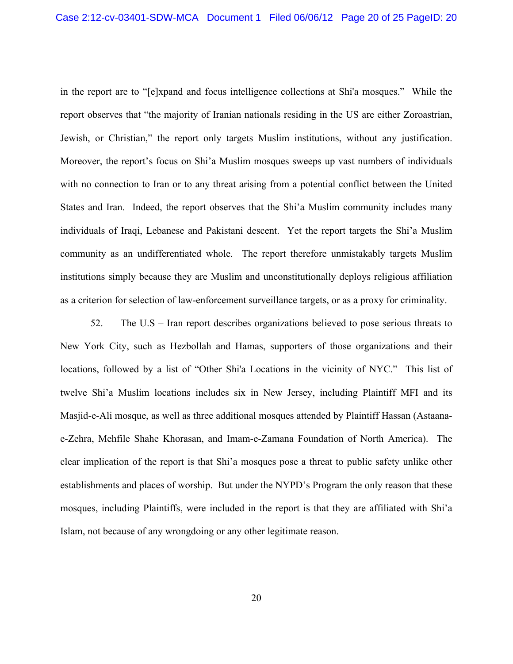in the report are to "[e]xpand and focus intelligence collections at Shi'a mosques." While the report observes that "the majority of Iranian nationals residing in the US are either Zoroastrian, Jewish, or Christian," the report only targets Muslim institutions, without any justification. Moreover, the report's focus on Shi'a Muslim mosques sweeps up vast numbers of individuals with no connection to Iran or to any threat arising from a potential conflict between the United States and Iran. Indeed, the report observes that the Shi'a Muslim community includes many individuals of Iraqi, Lebanese and Pakistani descent. Yet the report targets the Shi'a Muslim community as an undifferentiated whole. The report therefore unmistakably targets Muslim institutions simply because they are Muslim and unconstitutionally deploys religious affiliation as a criterion for selection of law-enforcement surveillance targets, or as a proxy for criminality.

52. The U.S – Iran report describes organizations believed to pose serious threats to New York City, such as Hezbollah and Hamas, supporters of those organizations and their locations, followed by a list of "Other Shi'a Locations in the vicinity of NYC." This list of twelve Shi'a Muslim locations includes six in New Jersey, including Plaintiff MFI and its Masjid-e-Ali mosque, as well as three additional mosques attended by Plaintiff Hassan (Astaanae-Zehra, Mehfile Shahe Khorasan, and Imam-e-Zamana Foundation of North America). The clear implication of the report is that Shi'a mosques pose a threat to public safety unlike other establishments and places of worship. But under the NYPD's Program the only reason that these mosques, including Plaintiffs, were included in the report is that they are affiliated with Shi'a Islam, not because of any wrongdoing or any other legitimate reason.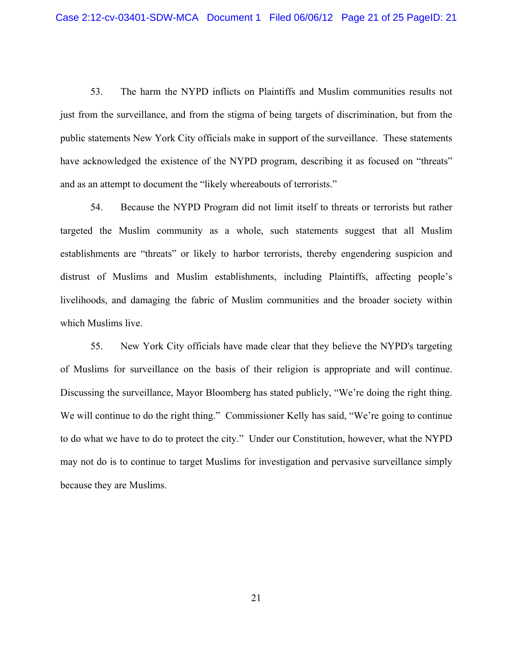53. The harm the NYPD inflicts on Plaintiffs and Muslim communities results not just from the surveillance, and from the stigma of being targets of discrimination, but from the public statements New York City officials make in support of the surveillance. These statements have acknowledged the existence of the NYPD program, describing it as focused on "threats" and as an attempt to document the "likely whereabouts of terrorists."

54. Because the NYPD Program did not limit itself to threats or terrorists but rather targeted the Muslim community as a whole, such statements suggest that all Muslim establishments are "threats" or likely to harbor terrorists, thereby engendering suspicion and distrust of Muslims and Muslim establishments, including Plaintiffs, affecting people's livelihoods, and damaging the fabric of Muslim communities and the broader society within which Muslims live.

55. New York City officials have made clear that they believe the NYPD's targeting of Muslims for surveillance on the basis of their religion is appropriate and will continue. Discussing the surveillance, Mayor Bloomberg has stated publicly, "We're doing the right thing. We will continue to do the right thing." Commissioner Kelly has said, "We're going to continue to do what we have to do to protect the city." Under our Constitution, however, what the NYPD may not do is to continue to target Muslims for investigation and pervasive surveillance simply because they are Muslims.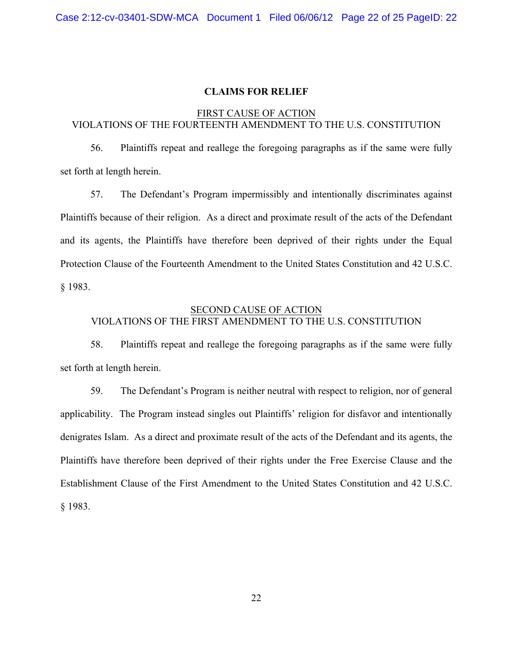#### **CLAIMS FOR RELIEF**

## FIRST CAUSE OF ACTION VIOLATIONS OF THE FOURTEENTH AMENDMENT TO THE U.S. CONSTITUTION

56. Plaintiffs repeat and reallege the foregoing paragraphs as if the same were fully set forth at length herein.

57. The Defendant's Program impermissibly and intentionally discriminates against Plaintiffs because of their religion. As a direct and proximate result of the acts of the Defendant and its agents, the Plaintiffs have therefore been deprived of their rights under the Equal Protection Clause of the Fourteenth Amendment to the United States Constitution and 42 U.S.C. § 1983.

## SECOND CAUSE OF ACTION VIOLATIONS OF THE FIRST AMENDMENT TO THE U.S. CONSTITUTION

58. Plaintiffs repeat and reallege the foregoing paragraphs as if the same were fully set forth at length herein.

59. The Defendant's Program is neither neutral with respect to religion, nor of general applicability. The Program instead singles out Plaintiffs' religion for disfavor and intentionally denigrates Islam. As a direct and proximate result of the acts of the Defendant and its agents, the Plaintiffs have therefore been deprived of their rights under the Free Exercise Clause and the Establishment Clause of the First Amendment to the United States Constitution and 42 U.S.C. § 1983.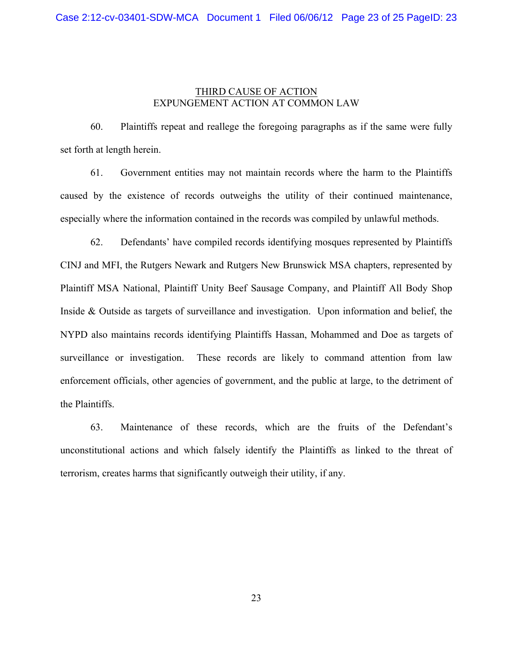## THIRD CAUSE OF ACTION EXPUNGEMENT ACTION AT COMMON LAW

60. Plaintiffs repeat and reallege the foregoing paragraphs as if the same were fully set forth at length herein.

61. Government entities may not maintain records where the harm to the Plaintiffs caused by the existence of records outweighs the utility of their continued maintenance, especially where the information contained in the records was compiled by unlawful methods.

62. Defendants' have compiled records identifying mosques represented by Plaintiffs CINJ and MFI, the Rutgers Newark and Rutgers New Brunswick MSA chapters, represented by Plaintiff MSA National, Plaintiff Unity Beef Sausage Company, and Plaintiff All Body Shop Inside & Outside as targets of surveillance and investigation. Upon information and belief, the NYPD also maintains records identifying Plaintiffs Hassan, Mohammed and Doe as targets of surveillance or investigation. These records are likely to command attention from law enforcement officials, other agencies of government, and the public at large, to the detriment of the Plaintiffs.

63. Maintenance of these records, which are the fruits of the Defendant's unconstitutional actions and which falsely identify the Plaintiffs as linked to the threat of terrorism, creates harms that significantly outweigh their utility, if any.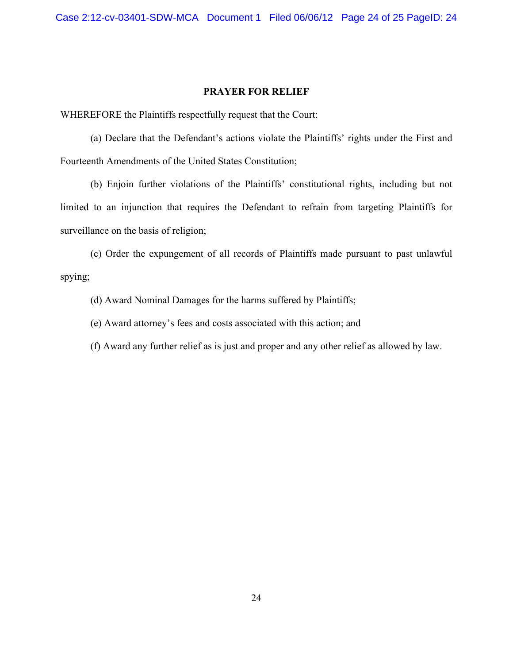#### **PRAYER FOR RELIEF**

WHEREFORE the Plaintiffs respectfully request that the Court:

(a) Declare that the Defendant's actions violate the Plaintiffs' rights under the First and Fourteenth Amendments of the United States Constitution;

(b) Enjoin further violations of the Plaintiffs' constitutional rights, including but not limited to an injunction that requires the Defendant to refrain from targeting Plaintiffs for surveillance on the basis of religion;

(c) Order the expungement of all records of Plaintiffs made pursuant to past unlawful spying;

(d) Award Nominal Damages for the harms suffered by Plaintiffs;

(e) Award attorney's fees and costs associated with this action; and

(f) Award any further relief as is just and proper and any other relief as allowed by law.